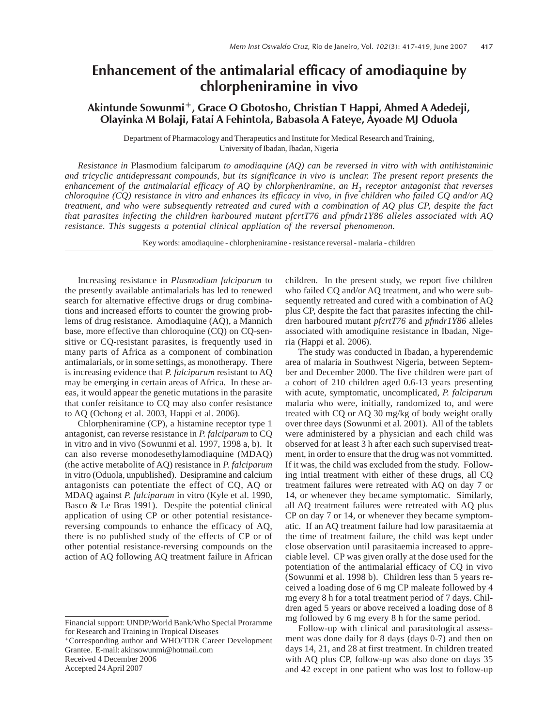## Enhancement of the antimalarial efficacy of amodiaquine by chlorpheniramine in vivo

## Akintunde Sowunmi<sup>+</sup>, Grace O Gbotosho, Christian T Happi, Ahmed A Adedeji, Olayinka M Bolaji, Fatai A Fehintola, Babasola A Fateye, Ayoade MJ Oduola

Department of Pharmacology and Therapeutics and Institute for Medical Research and Training, University of Ibadan, Ibadan, Nigeria

*Resistance in* Plasmodium falciparum *to amodiaquine (AQ) can be reversed in vitro with with antihistaminic and tricyclic antidepressant compounds, but its significance in vivo is unclear. The present report presents the enhancement of the antimalarial efficacy of AQ by chlorpheniramine, an H1 receptor antagonist that reverses chloroquine (CQ) resistance in vitro and enhances its efficacy in vivo, in five children who failed CQ and/or AQ treatment, and who were subsequently retreated and cured with a combination of AQ plus CP, despite the fact that parasites infecting the children harboured mutant pfcrtT76 and pfmdr1Y86 alleles associated with AQ resistance. This suggests a potential clinical appliation of the reversal phenomenon.*

Key words: amodiaquine - chlorpheniramine - resistance reversal - malaria - children

Increasing resistance in *Plasmodium falciparum* to the presently available antimalarials has led to renewed search for alternative effective drugs or drug combinations and increased efforts to counter the growing problems of drug resistance. Amodiaquine (AQ), a Mannich base, more effective than chloroquine (CQ) on CQ-sensitive or CQ-resistant parasites, is frequently used in many parts of Africa as a component of combination antimalarials, or in some settings, as monotherapy. There is increasing evidence that *P. falciparum* resistant to AQ may be emerging in certain areas of Africa. In these areas, it would appear the genetic mutations in the parasite that confer reisitance to CQ may also confer resistance to AQ (Ochong et al. 2003, Happi et al. 2006).

Chlorpheniramine (CP), a histamine receptor type 1 antagonist, can reverse resistance in *P. falciparum* to CQ in vitro and in vivo (Sowunmi et al. 1997, 1998 a, b). It can also reverse monodesethylamodiaquine (MDAQ) (the active metabolite of AQ) resistance in *P. falciparum* in vitro (Oduola, unpublished). Desipramine and calcium antagonists can potentiate the effect of CQ, AQ or MDAQ against *P. falciparum* in vitro (Kyle et al. 1990, Basco & Le Bras 1991). Despite the potential clinical application of using CP or other potential resistancereversing compounds to enhance the efficacy of AQ, there is no published study of the effects of CP or of other potential resistance-reversing compounds on the action of AQ following AQ treatment failure in African

Accepted 24 April 2007

children. In the present study, we report five children who failed CQ and/or AQ treatment, and who were subsequently retreated and cured with a combination of AQ plus CP, despite the fact that parasites infecting the children harboured mutant *pfcrtT76* and *pfmdr1Y86* alleles associated with amodiquine resistance in Ibadan, Nigeria (Happi et al. 2006).

The study was conducted in Ibadan, a hyperendemic area of malaria in Southwest Nigeria, between September and December 2000. The five children were part of a cohort of 210 children aged 0.6-13 years presenting with acute, symptomatic, uncomplicated, *P. falciparum* malaria who were, initially, randomized to, and were treated with CQ or AQ 30 mg/kg of body weight orally over three days (Sowunmi et al. 2001). All of the tablets were administered by a physician and each child was observed for at least 3 h after each such supervised treatment, in order to ensure that the drug was not vommitted. If it was, the child was excluded from the study. Following intial treatment with either of these drugs, all CQ treatment failures were retreated with AQ on day 7 or 14, or whenever they became symptomatic. Similarly, all AQ treatment failures were retreated with AQ plus CP on day 7 or 14, or whenever they became symptomatic. If an AQ treatment failure had low parasitaemia at the time of treatment failure, the child was kept under close observation until parasitaemia increased to appreciable level. CP was given orally at the dose used for the potentiation of the antimalarial efficacy of CQ in vivo (Sowunmi et al. 1998 b). Children less than 5 years received a loading dose of 6 mg CP maleate followed by 4 mg every 8 h for a total treatment period of 7 days. Children aged 5 years or above received a loading dose of 8 mg followed by 6 mg every 8 h for the same period.

Follow-up with clinical and parasitological assessment was done daily for 8 days (days 0-7) and then on days 14, 21, and 28 at first treatment. In children treated with AQ plus CP, follow-up was also done on days 35 and 42 except in one patient who was lost to follow-up

Financial support: UNDP/World Bank/Who Special Proramme for Research and Training in Tropical Diseases

*<sup>+</sup>*Corresponding author and WHO/TDR Career Development Grantee. E-mail: akinsowunmi@hotmail.com Received 4 December 2006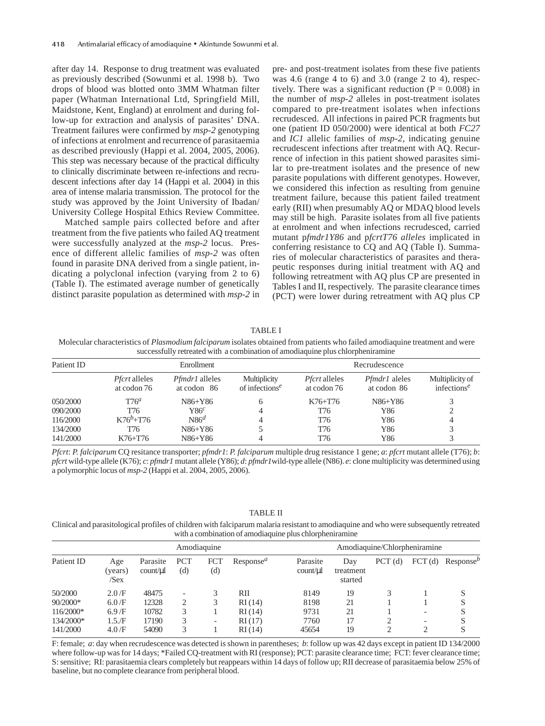after day 14. Response to drug treatment was evaluated as previously described (Sowunmi et al. 1998 b). Two drops of blood was blotted onto 3MM Whatman filter paper (Whatman International Ltd, Springfield Mill, Maidstone, Kent, England) at enrolment and during follow-up for extraction and analysis of parasites' DNA. Treatment failures were confirmed by *msp-2* genotyping of infections at enrolment and recurrence of parasitaemia as described previously (Happi et al. 2004, 2005, 2006). This step was necessary because of the practical difficulty to clinically discriminate between re-infections and recrudescent infections after day 14 (Happi et al. 2004) in this area of intense malaria transmission. The protocol for the study was approved by the Joint University of Ibadan/ University College Hospital Ethics Review Committee.

Matched sample pairs collected before and after treatment from the five patients who failed AQ treatment were successfully analyzed at the *msp-2* locus. Presence of different allelic families of *msp-2* was often found in parasite DNA derived from a single patient, indicating a polyclonal infection (varying from 2 to 6) (Table I). The estimated average number of genetically distinct parasite population as determined with *msp-2* in pre- and post-treatment isolates from these five patients was 4.6 (range 4 to 6) and 3.0 (range 2 to 4), respectively. There was a significant reduction  $(P = 0.008)$  in the number of *msp-2* alleles in post-treatment isolates compared to pre-treatment isolates when infections recrudesced. All infections in paired PCR fragments but one (patient ID 050/2000) were identical at both *FC27* and *IC1* allelic families of *msp-2*, indicating genuine recrudescent infections after treatment with AQ. Recurrence of infection in this patient showed parasites similar to pre-treatment isolates and the presence of new parasite populations with different genotypes. However, we considered this infection as resulting from genuine treatment failure, because this patient failed treatment early (RII) when presumably AQ or MDAQ blood levels may still be high. Parasite isolates from all five patients at enrolment and when infections recrudesced, carried mutant p*fmdr1Y86* and p*fcrtT76 alleles* implicated in conferring resistance to CQ and AQ (Table I). Summaries of molecular characteristics of parasites and therapeutic responses during initial treatment with AQ and following retreatment with AQ plus CP are presented in Tables I and II, respectively. The parasite clearance times (PCT) were lower during retreatment with AQ plus CP

TABLE I

 Molecular characteristics of *Plasmodium falciparum* isolates obtained from patients who failed amodiaquine treatment and were successfully retreated with a combination of amodiaquine plus chlorpheniramine

| Patient ID |                                     | Enrollment                           |                                                         | Recrudescence                       |                                     |                                                         |  |
|------------|-------------------------------------|--------------------------------------|---------------------------------------------------------|-------------------------------------|-------------------------------------|---------------------------------------------------------|--|
|            | <i>Pfcrt</i> alleles<br>at codon 76 | <i>Pfmdr1</i> alleles<br>at codon 86 | Multiplicity<br>of infections <sup><math>e</math></sup> | <i>Pfcrt</i> alleles<br>at codon 76 | <i>Pfmdr1</i> aleles<br>at codon 86 | Multiplicity of<br>infections <sup><math>e</math></sup> |  |
| 050/2000   | $T76^a$                             | N86+Y86                              | <sub>6</sub>                                            | $K76 + T76$                         | N86+Y86                             | 3                                                       |  |
| 090/2000   | T76                                 | $886^c$                              | 4                                                       | T76                                 | Y86                                 | 2                                                       |  |
| 116/2000   | $K76^{b} + T76$                     | $N86^d$                              | 4                                                       | T76                                 | Y86                                 | 4                                                       |  |
| 134/2000   | T76                                 | N86+Y86                              |                                                         | T76                                 | Y86                                 | 3                                                       |  |
| 141/2000   | K76+T76                             | N86+Y86                              | 4                                                       | T76                                 | Y86                                 | 3                                                       |  |

*Pfcrt*: *P. falciparum* CQ resitance transporter; *pfmdr1*: *P. falciparum* multiple drug resistance 1 gene; *a*: *pfcrt* mutant allele (T76); *b*: *pfcrt* wild-type allele (K76); *c*: *pfmdr1* mutant allele (Y86); *d*: *pfmdr1*wild-type allele (N86). *e*: clone multiplicity was determined using a polymorphic locus of *msp-2* (Happi et al. 2004, 2005, 2006).

TABLE II

Clinical and parasitological profiles of children with falciparum malaria resistant to amodiaquine and who were subsequently retreated with a combination of amodiaquine plus chlorpheniramine

|            | Amodiaquine            |                     |                   |                   |                       |                      | Amodiaquine/Chlorpheniramine |        |                          |                       |  |
|------------|------------------------|---------------------|-------------------|-------------------|-----------------------|----------------------|------------------------------|--------|--------------------------|-----------------------|--|
| Patient ID | Age<br>(years)<br>/Sex | Parasite<br>count/µ | <b>PCT</b><br>(d) | <b>FCT</b><br>(d) | Response <sup>a</sup> | Parasite<br>count/µl | Day<br>treatment<br>started  | PCT(d) | $\text{FCT}$ (d)         | Response <sup>b</sup> |  |
| 50/2000    | 2.0/F                  | 48475               |                   |                   | RII                   | 8149                 | 19                           |        |                          |                       |  |
| 90/2000*   | 6.0/F                  | 12328               | ∍                 | 3                 | RI(14)                | 8198                 | 21                           |        |                          |                       |  |
| 116/2000*  | 6.9/F                  | 10782               |                   |                   | RI(14)                | 9731                 | 21                           |        |                          | S                     |  |
| 134/2000*  | 1.5.F                  | 17190               |                   | -                 | RI(17)                | 7760                 | 17                           |        | $\overline{\phantom{0}}$ |                       |  |
| 141/2000   | 4.0/F                  | 54090               |                   |                   | RI(14)                | 45654                | 19                           |        |                          | S                     |  |

F: female; *a*: day when recrudescence was detected is shown in parentheses; *b*: follow up was 42 days except in patient ID 134/2000 where follow-up was for 14 days; \*Failed CQ-treatment with RI (response); PCT: parasite clearance time; FCT: fever clearance time; S: sensitive; RI: parasitaemia clears completely but reappears within 14 days of follow up; RII decrease of parasitaemia below 25% of baseline, but no complete clearance from peripheral blood.